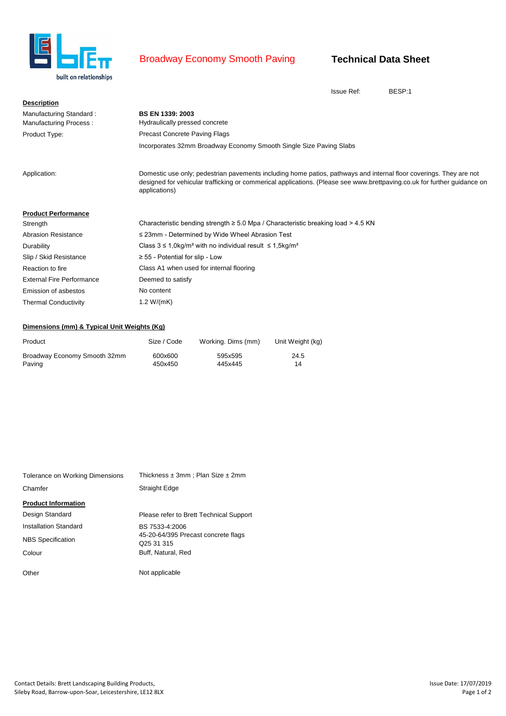

## Broadway Economy Smooth Paving

## **Technical Data Sheet**

Issue Ref: BESP:1

| <b>Description</b>               |                                                                                                                                                                                                                                                                 |
|----------------------------------|-----------------------------------------------------------------------------------------------------------------------------------------------------------------------------------------------------------------------------------------------------------------|
| Manufacturing Standard:          | <b>BS EN 1339: 2003</b>                                                                                                                                                                                                                                         |
| Manufacturing Process:           | Hydraulically pressed concrete                                                                                                                                                                                                                                  |
| Product Type:                    | <b>Precast Concrete Paving Flags</b>                                                                                                                                                                                                                            |
|                                  | Incorporates 32mm Broadway Economy Smooth Single Size Paving Slabs                                                                                                                                                                                              |
| Application:                     | Domestic use only; pedestrian pavements including home patios, pathways and internal floor coverings. They are not<br>designed for vehicular trafficking or commerical applications. (Please see www.brettpaving.co.uk for further guidance on<br>applications) |
| <b>Product Performance</b>       |                                                                                                                                                                                                                                                                 |
| Strength                         | Characteristic bending strength $\geq 5.0$ Mpa / Characteristic breaking load $> 4.5$ KN                                                                                                                                                                        |
| <b>Abrasion Resistance</b>       | ≤ 23mm - Determined by Wide Wheel Abrasion Test                                                                                                                                                                                                                 |
| Durability                       | Class $3 \le 1.0$ kg/m <sup>2</sup> with no individual result $\le 1.5$ kg/m <sup>2</sup>                                                                                                                                                                       |
| Slip / Skid Resistance           | $\geq$ 55 - Potential for slip - Low                                                                                                                                                                                                                            |
| Reaction to fire                 | Class A1 when used for internal flooring                                                                                                                                                                                                                        |
| <b>External Fire Performance</b> | Deemed to satisfy                                                                                                                                                                                                                                               |
| Emission of asbestos             | No content                                                                                                                                                                                                                                                      |
| <b>Thermal Conductivity</b>      | 1.2 $W/(mK)$                                                                                                                                                                                                                                                    |

## **Dimensions (mm) & Typical Unit Weights (Kg)**

| Product                      | Size / Code | Working. Dims (mm) | Unit Weight (kg) |
|------------------------------|-------------|--------------------|------------------|
| Broadway Economy Smooth 32mm | 600x600     | 595x595            | 24.5             |
| Paving                       | 450x450     | 445x445            | 14               |

| Tolerance on Working Dimensions | Thickness $\pm 3$ mm; Plan Size $\pm 2$ mm                    |  |  |  |
|---------------------------------|---------------------------------------------------------------|--|--|--|
| Chamfer                         | <b>Straight Edge</b>                                          |  |  |  |
| <b>Product Information</b>      |                                                               |  |  |  |
| Design Standard                 | Please refer to Brett Technical Support                       |  |  |  |
| Installation Standard           | BS 7533-4:2006                                                |  |  |  |
| <b>NBS</b> Specification        | 45-20-64/395 Precast concrete flags<br>Q <sub>25</sub> 31 315 |  |  |  |
| Colour                          | Buff, Natural, Red                                            |  |  |  |
| Other                           | Not applicable                                                |  |  |  |